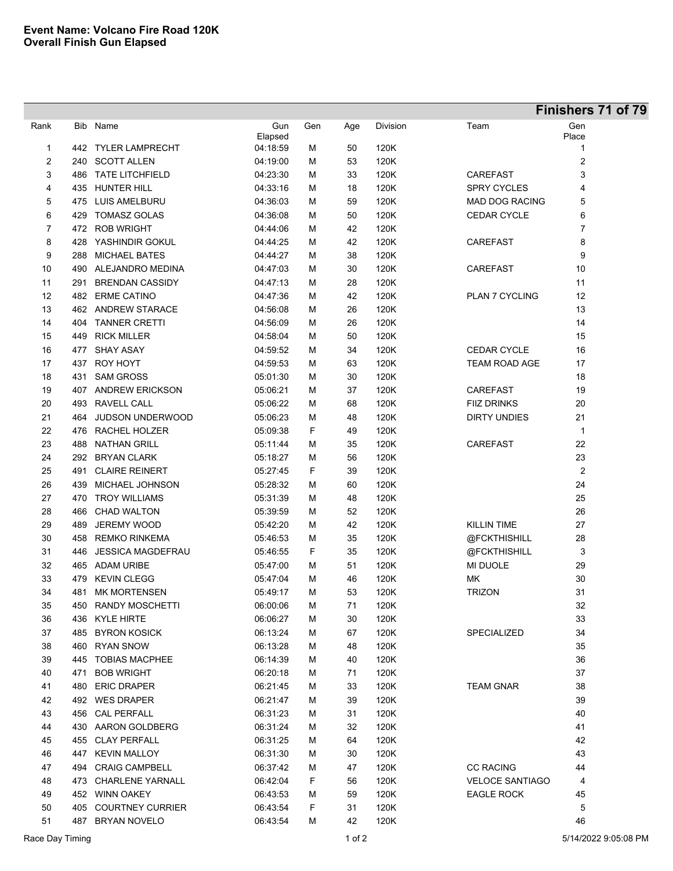|                |     |                          |                |     |     |          |                        | Finishers 71 of 79 |
|----------------|-----|--------------------------|----------------|-----|-----|----------|------------------------|--------------------|
| Rank           |     | Bib Name                 | Gun<br>Elapsed | Gen | Age | Division | Team                   | Gen<br>Place       |
| 1              |     | 442 TYLER LAMPRECHT      | 04:18:59       | М   | 50  | 120K     |                        | 1                  |
| 2              |     | 240 SCOTT ALLEN          | 04:19:00       | м   | 53  | 120K     |                        | 2                  |
| 3              | 486 | <b>TATE LITCHFIELD</b>   | 04:23:30       | м   | 33  | 120K     | <b>CAREFAST</b>        | 3                  |
| 4              |     | 435 HUNTER HILL          | 04:33:16       | м   | 18  | 120K     | <b>SPRY CYCLES</b>     | 4                  |
| 5              |     | 475 LUIS AMELBURU        | 04:36:03       | м   | 59  | 120K     | <b>MAD DOG RACING</b>  | 5                  |
| 6              | 429 | <b>TOMASZ GOLAS</b>      | 04:36:08       | M   | 50  | 120K     | <b>CEDAR CYCLE</b>     | 6                  |
| $\overline{7}$ |     | 472 ROB WRIGHT           | 04:44:06       | м   | 42  | 120K     |                        | 7                  |
| 8              | 428 | YASHINDIR GOKUL          | 04:44:25       | M   | 42  | 120K     | CAREFAST               | 8                  |
| 9              | 288 | <b>MICHAEL BATES</b>     | 04:44:27       | M   | 38  | 120K     |                        | 9                  |
| 10             |     | 490 ALEJANDRO MEDINA     | 04:47:03       | М   | 30  | 120K     | <b>CAREFAST</b>        | 10                 |
| 11             | 291 | <b>BRENDAN CASSIDY</b>   | 04 47 13       | М   | 28  | 120K     |                        | 11                 |
| 12             |     | 482 ERME CATINO          | 04:47:36       | М   | 42  | 120K     | <b>PLAN 7 CYCLING</b>  | 12                 |
| 13             |     | 462 ANDREW STARACE       | 04:56:08       | М   | 26  | 120K     |                        | 13                 |
| 14             | 404 | <b>TANNER CRETTI</b>     | 04:56:09       | М   | 26  | 120K     |                        | 14                 |
| 15             |     | 449 RICK MILLER          | 04:58:04       | М   | 50  | 120K     |                        | 15                 |
| 16             | 477 | <b>SHAY ASAY</b>         | 04:59:52       | М   | 34  | 120K     | <b>CEDAR CYCLE</b>     | 16                 |
| 17             | 437 | <b>ROY HOYT</b>          | 04:59:53       | М   | 63  | 120K     | <b>TEAM ROAD AGE</b>   | 17                 |
| 18             | 431 | <b>SAM GROSS</b>         | 05:01:30       | М   | 30  | 120K     |                        | 18                 |
| 19             | 407 | <b>ANDREW ERICKSON</b>   | 05:06:21       | М   | 37  | 120K     | <b>CAREFAST</b>        | 19                 |
| 20             | 493 | RAVELL CALL              | 05:06:22       | М   | 68  | 120K     | <b>FIIZ DRINKS</b>     | 20                 |
| 21             | 464 | JUDSON UNDERWOOD         | 05:06:23       | М   | 48  | 120K     | <b>DIRTY UNDIES</b>    | 21                 |
| 22             |     | 476 RACHEL HOLZER        | 05:09:38       | F   | 49  | 120K     |                        | 1                  |
| 23             | 488 | <b>NATHAN GRILL</b>      | 05:11:44       | М   | 35  | 120K     | CAREFAST               | 22                 |
| 24             | 292 | <b>BRYAN CLARK</b>       | 05:18:27       | М   | 56  | 120K     |                        | 23                 |
| 25             | 491 | <b>CLAIRE REINERT</b>    | 05:27:45       | F   | 39  | 120K     |                        | 2                  |
| 26             | 439 | MICHAEL JOHNSON          | 05:28:32       | м   | 60  | 120K     |                        | 24                 |
| 27             | 470 | <b>TROY WILLIAMS</b>     | 05:31:39       | м   | 48  | 120K     |                        | 25                 |
| 28             | 466 | <b>CHAD WALTON</b>       | 05:39:59       | м   | 52  | 120K     |                        | 26                 |
| 29             | 489 | <b>JEREMY WOOD</b>       | 05:42:20       | м   | 42  | 120K     | KILLIN TIME            | 27                 |
| 30             | 458 | <b>REMKO RINKEMA</b>     | 05:46:53       | M   | 35  | 120K     | @FCKTHISHILL           | 28                 |
| 31             | 446 | <b>JESSICA MAGDEFRAU</b> | 05:46:55       | F   | 35  | 120K     | @FCKTHISHILL           | 3                  |
| 32             |     | 465 ADAM URIBE           | 05:47:00       | M   | 51  | 120K     | <b>MI DUOLE</b>        | 29                 |
| 33             |     | 479 KEVIN CLEGG          | 05:47:04       | М   | 46  | 120K     | МK                     | 30                 |
| 34             |     | 481 MK MORTENSEN         | 05:49:17       | м   | 53  | 120K     | <b>TRIZON</b>          | 31                 |
| 35             |     | 450 RANDY MOSCHETTI      | 06:00:06       | м   | 71  | 120K     |                        | 32                 |
| 36             |     | 436 KYLE HIRTE           | 06:06:27       | M   | 30  | 120K     |                        | 33                 |
| 37             |     | 485 BYRON KOSICK         | 06:13:24       | М   | 67  | 120K     | SPECIALIZED            | 34                 |
| 38             |     | 460 RYAN SNOW            | 06:13:28       | М   | 48  | 120K     |                        | 35                 |
| 39             |     | 445 TOBIAS MACPHEE       | 06:14:39       | M   | 40  | 120K     |                        | 36                 |
| 40             | 471 | <b>BOB WRIGHT</b>        | 06:20:18       | M   | 71  | 120K     |                        | 37                 |
| 41             |     | 480 ERIC DRAPER          | 06:21:45       | M   | 33  | 120K     | <b>TEAM GNAR</b>       | 38                 |
| 42             |     | 492 WES DRAPER           | 06:21:47       | M   | 39  | 120K     |                        | 39                 |
| 43             |     | 456 CAL PERFALL          | 06:31:23       | м   | 31  | 120K     |                        | 40                 |
| 44             |     | 430 AARON GOLDBERG       | 06:31:24       | М   | 32  | 120K     |                        | 41                 |
| 45             |     | 455 CLAY PERFALL         | 06:31:25       | М   | 64  | 120K     |                        | 42                 |
| 46             | 447 | <b>KEVIN MALLOY</b>      | 06:31:30       | М   | 30  | 120K     |                        | 43                 |
| 47             | 494 | <b>CRAIG CAMPBELL</b>    | 06:37:42       | М   | 47  | 120K     | <b>CC RACING</b>       | 44                 |
| 48             | 473 | <b>CHARLENE YARNALL</b>  | 06:42:04       | F   | 56  | 120K     | <b>VELOCE SANTIAGO</b> | 4                  |
| 49             |     | 452 WINN OAKEY           | 06:43:53       | м   | 59  | 120K     | <b>EAGLE ROCK</b>      | 45                 |
| 50             | 405 | <b>COURTNEY CURRIER</b>  | 06:43:54       | F   | 31  | 120K     |                        | 5                  |
| 51             |     | 487 BRYAN NOVELO         | 06:43:54       | м   | 42  | 120K     |                        | 46                 |